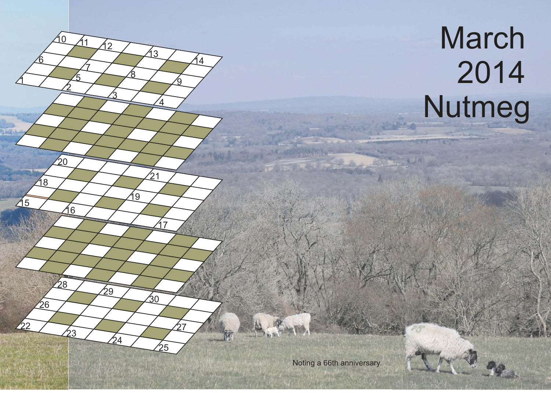## March 2014 Nutmeg

Noting a 66th anniversary.

 $\mathfrak{1}$ 

15

 $/22$ 

18

26

'n

2

16

28

 $\overline{2}$ 

 $20 \,$ 

5

7

 $10$   $11$   $12$ 

 $\overline{3}$ 

 $\sqrt{29}$ 

 $\overline{\mathcal{A}}$ 

<u>ያ</u>

19

4

 $17$ 

25

 $\mathfrak{b}_0$ 

27

 $\mathfrak{b}_1$ 

13

<u>ରୁ</u>

14